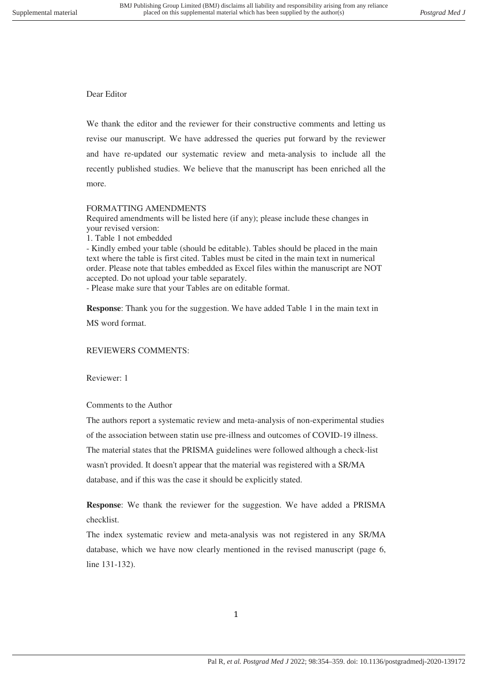## Dear Editor

We thank the editor and the reviewer for their constructive comments and letting us revise our manuscript. We have addressed the queries put forward by the reviewer and have re-updated our systematic review and meta-analysis to include all the recently published studies. We believe that the manuscript has been enriched all the more.

## FORMATTING AMENDMENTS

Required amendments will be listed here (if any); please include these changes in your revised version:

1. Table 1 not embedded

- Kindly embed your table (should be editable). Tables should be placed in the main text where the table is first cited. Tables must be cited in the main text in numerical order. Please note that tables embedded as Excel files within the manuscript are NOT accepted. Do not upload your table separately.

- Please make sure that your Tables are on editable format.

**Response**: Thank you for the suggestion. We have added Table 1 in the main text in MS word format.

## REVIEWERS COMMENTS:

Reviewer: 1

Comments to the Author

The authors report a systematic review and meta-analysis of non-experimental studies of the association between statin use pre-illness and outcomes of COVID-19 illness. The material states that the PRISMA guidelines were followed although a check-list wasn't provided. It doesn't appear that the material was registered with a SR/MA database, and if this was the case it should be explicitly stated.

**Response**: We thank the reviewer for the suggestion. We have added a PRISMA checklist.

The index systematic review and meta-analysis was not registered in any SR/MA database, which we have now clearly mentioned in the revised manuscript (page 6, line 131-132).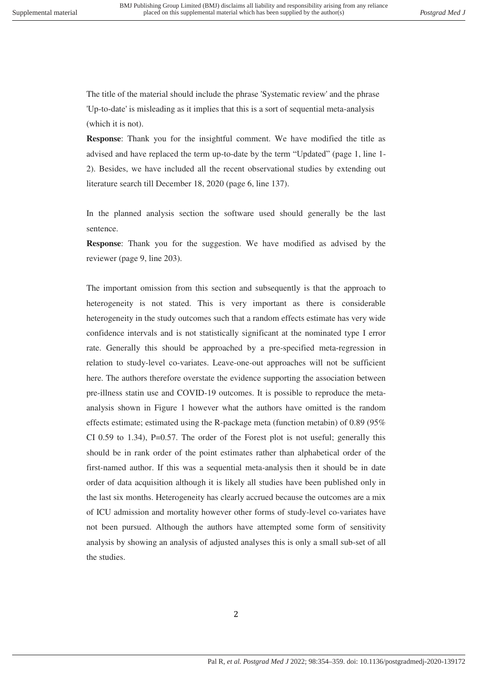The title of the material should include the phrase 'Systematic review' and the phrase 'Up-to-date' is misleading as it implies that this is a sort of sequential meta-analysis (which it is not).

**Response**: Thank you for the insightful comment. We have modified the title as advised and have replaced the term up-to-date by the term "Updated" (page 1, line 1- 2). Besides, we have included all the recent observational studies by extending out literature search till December 18, 2020 (page 6, line 137).

In the planned analysis section the software used should generally be the last sentence.

**Response**: Thank you for the suggestion. We have modified as advised by the reviewer (page 9, line 203).

The important omission from this section and subsequently is that the approach to heterogeneity is not stated. This is very important as there is considerable heterogeneity in the study outcomes such that a random effects estimate has very wide confidence intervals and is not statistically significant at the nominated type I error rate. Generally this should be approached by a pre-specified meta-regression in relation to study-level co-variates. Leave-one-out approaches will not be sufficient here. The authors therefore overstate the evidence supporting the association between pre-illness statin use and COVID-19 outcomes. It is possible to reproduce the metaanalysis shown in Figure 1 however what the authors have omitted is the random effects estimate; estimated using the R-package meta (function metabin) of 0.89 (95% CI 0.59 to 1.34), P=0.57. The order of the Forest plot is not useful; generally this should be in rank order of the point estimates rather than alphabetical order of the first-named author. If this was a sequential meta-analysis then it should be in date order of data acquisition although it is likely all studies have been published only in the last six months. Heterogeneity has clearly accrued because the outcomes are a mix of ICU admission and mortality however other forms of study-level co-variates have not been pursued. Although the authors have attempted some form of sensitivity analysis by showing an analysis of adjusted analyses this is only a small sub-set of all the studies.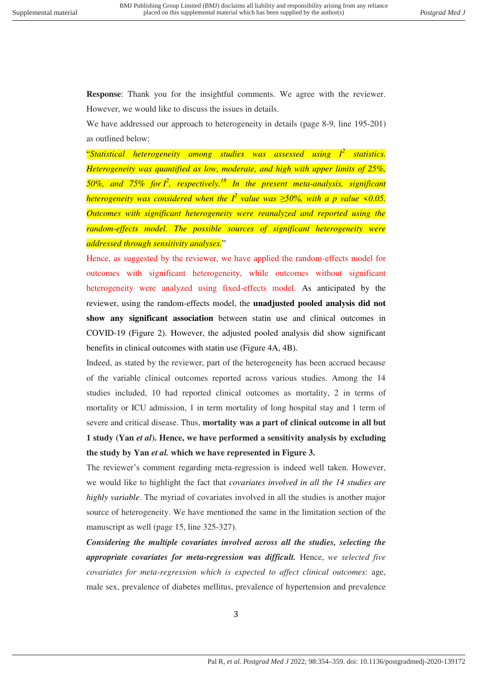**Response**: Thank you for the insightful comments. We agree with the reviewer. However, we would like to discuss the issues in details.

We have addressed our approach to heterogeneity in details (page 8-9, line 195-201) as outlined below:

"*Statistical heterogeneity among studies was assessed using I<sup>2</sup> statistics. Heterogeneity was quantified as low, moderate, and high with upper limits of 25%, 50%, and 75% for I<sup>2</sup> , respectively.<sup>18</sup> In the present meta-analysis, significant heterogeneity was considered when the I<sup>2</sup> value was ≥50%, with a p value <0.05. Outcomes with significant heterogeneity were reanalyzed and reported using the random-effects model. The possible sources of significant heterogeneity were addressed through sensitivity analyses.*"

Hence, as suggested by the reviewer, we have applied the random-effects model for outcomes with significant heterogeneity, while outcomes without significant heterogeneity were analyzed using fixed-effects model. As anticipated by the reviewer, using the random-effects model, the **unadjusted pooled analysis did not show any significant association** between statin use and clinical outcomes in COVID-19 (Figure 2). However, the adjusted pooled analysis did show significant benefits in clinical outcomes with statin use (Figure 4A, 4B).

Indeed, as stated by the reviewer, part of the heterogeneity has been accrued because of the variable clinical outcomes reported across various studies. Among the 14 studies included, 10 had reported clinical outcomes as mortality, 2 in terms of mortality or ICU admission, 1 in term mortality of long hospital stay and 1 term of severe and critical disease. Thus, **mortality was a part of clinical outcome in all but 1 study (Yan** *et al***). Hence, we have performed a sensitivity analysis by excluding the study by Yan** *et al.* **which we have represented in Figure 3.**

The reviewer's comment regarding meta-regression is indeed well taken. However, we would like to highlight the fact that *covariates involved in all the 14 studies are highly variable*. The myriad of covariates involved in all the studies is another major source of heterogeneity. We have mentioned the same in the limitation section of the manuscript as well (page 15, line 325-327).

*Considering the multiple covariates involved across all the studies, selecting the appropriate covariates for meta-regression was difficult.* Hence, *we selected five covariates for meta-regression which is expected to affect clinical outcomes*: age, male sex, prevalence of diabetes mellitus, prevalence of hypertension and prevalence